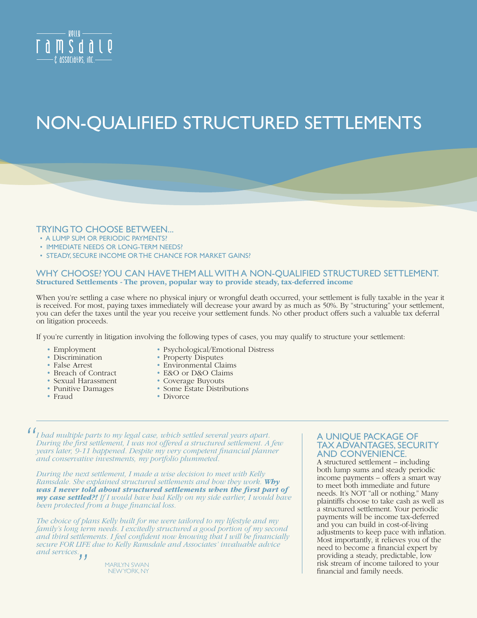

# NON-QUALIFIED STRUCTURED SETTLEMENTS

### TRYING TO CHOOSE BETWEEN... • A LUMP SUM OR PERIODIC PAYMENTS?

- 
- IMMEDIATE NEEDS OR LONG-TERM NEEDS?
- STEADY, SECURE INCOME OR THE CHANCE FOR MARKET GAINS?

## WHY CHOOSE? YOU CAN HAVE THEM ALL WITH A NON-QUALIFIED STRUCTURED SETTLEMENT.<br>Structured Settlements - The proven, popular way to provide steady, tax-deferred income

When you're settling a case where no physical injury or wrongful death occurred, your settlement is fully taxable in the year it is received. For most, paying taxes immediately will decrease your award by as much as 50%. By "structuring" your settlement, you can defer the taxes until the year you receive your settlement funds. No other product offers such a valuable tax deferral on litigation proceeds.

If you're currently in litigation involving the following types of cases, you may qualify to structure your settlement:

- Employment
- Discrimination
- False Arrest
- Breach of Contract
- Sexual Harassment
- Punitive Damages
- Fraud
- Psychological/Emotional Distress
- Property Disputes
- Environmental Claims
- E&O or D&O Claims
- Coverage Buyouts
- Some Estate Distributions
- Divorce

*I had multiple parts to my legal case, which settled several years apart. During the first settlement, I was not offered a structured settlement. A few years later, 9-11 happened. Despite my very competent financial planner and conservative investments, my portfolio plummeted. "*

*During the next settlement, I made a wise decision to meet with Kelly Ramsdale. She explained structured settlements and how they work. Why was I never told about structured settlements when the first part of my case settled?! If I would have had Kelly on my side earlier, I would have been protected from a huge financial loss.*

*The choice of plans Kelly built for me were tailored to my lifestyle and my family's long term needs. I excitedly structured a good portion of my second*  and third settlements. I feel confident now knowing that I will be financially *secure FOR LIFE due to Kelly Ramsdale and Associates' invaluable advice and services. "*

MARILYN SWAN NEW YORK, NY

#### A UNIQUE PACKAGE OF TAX ADVANTAGES, SECURITY AND CONVENIENCE.

A structured settlement – including both lump sums and steady periodic income payments – offers a smart way to meet both immediate and future needs. It's NOT "all or nothing." Many plaintiffs choose to take cash as well as a structured settlement. Your periodic payments will be income tax-deferred and you can build in cost-of-living adjustments to keep pace with inflation. Most importantly, it relieves you of the need to become a financial expert by providing a steady, predictable, low risk stream of income tailored to your financial and family needs.